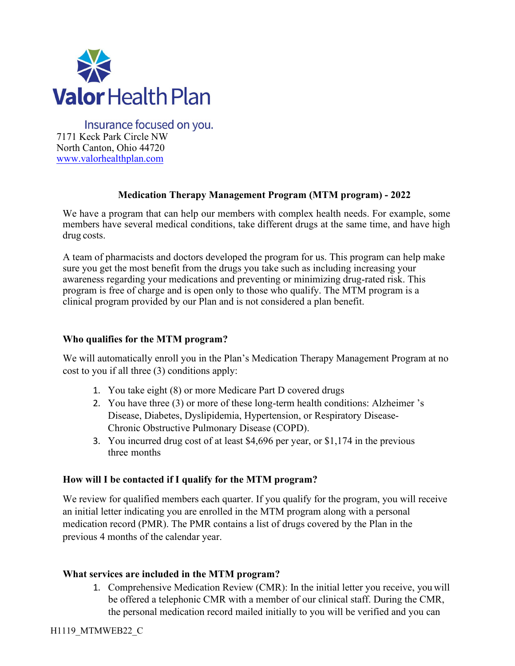

Insurance focused on you. 7171 Keck Park Circle NW North Canton, Ohio 44720 [www.valorhealthplan.com](http://www.valorhealthplan.com/)

## **Medication Therapy Management Program (MTM program) - 2022**

We have a program that can help our members with complex health needs. For example, some members have several medical conditions, take different drugs at the same time, and have high drug costs.

A team of pharmacists and doctors developed the program for us. This program can help make sure you get the most benefit from the drugs you take such as including increasing your awareness regarding your medications and preventing or minimizing drug-rated risk. This program is free of charge and is open only to those who qualify. The MTM program is a clinical program provided by our Plan and is not considered a plan benefit.

## **Who qualifies for the MTM program?**

We will automatically enroll you in the Plan's Medication Therapy Management Program at no cost to you if all three (3) conditions apply:

- 1. You take eight (8) or more Medicare Part D covered drugs
- 2. You have three (3) or more of these long-term health conditions: Alzheimer 's Disease, Diabetes, Dyslipidemia, Hypertension, or Respiratory Disease-Chronic Obstructive Pulmonary Disease (COPD).
- 3. You incurred drug cost of at least \$4,696 per year, or \$1,174 in the previous three months

### **How will I be contacted if I qualify for the MTM program?**

We review for qualified members each quarter. If you qualify for the program, you will receive an initial letter indicating you are enrolled in the MTM program along with a personal medication record (PMR). The PMR contains a list of drugs covered by the Plan in the previous 4 months of the calendar year.

### **What services are included in the MTM program?**

1. Comprehensive Medication Review (CMR): In the initial letter you receive, you will be offered a telephonic CMR with a member of our clinical staff. During the CMR, the personal medication record mailed initially to you will be verified and you can

H1119\_MTMWEB22\_C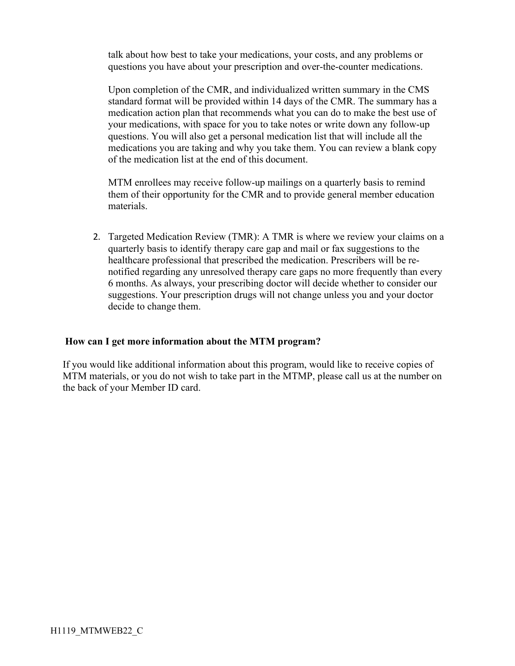talk about how best to take your medications, your costs, and any problems or questions you have about your prescription and over-the-counter medications.

Upon completion of the CMR, and individualized written summary in the CMS standard format will be provided within 14 days of the CMR. The summary has a medication action plan that recommends what you can do to make the best use of your medications, with space for you to take notes or write down any follow-up questions. You will also get a personal medication list that will include all the medications you are taking and why you take them. You can review a blank copy of the medication list at the end of this [document.](http://www.tributehealthplans.com/wp-content/uploads/2016/01/MTM-Program-Standardized-Format-English.pdf)

MTM enrollees may receive follow-up mailings on a quarterly basis to remind them of their opportunity for the CMR and to provide general member education materials.

2. Targeted Medication Review (TMR): A TMR is where we review your claims on a quarterly basis to identify therapy care gap and mail or fax suggestions to the healthcare professional that prescribed the medication. Prescribers will be renotified regarding any unresolved therapy care gaps no more frequently than every 6 months. As always, your prescribing doctor will decide whether to consider our suggestions. Your prescription drugs will not change unless you and your doctor decide to change them.

## **How can I get more information about the MTM program?**

If you would like additional information about this program, would like to receive copies of MTM materials, or you do not wish to take part in the MTMP, please call us at the number on the back of your Member ID card.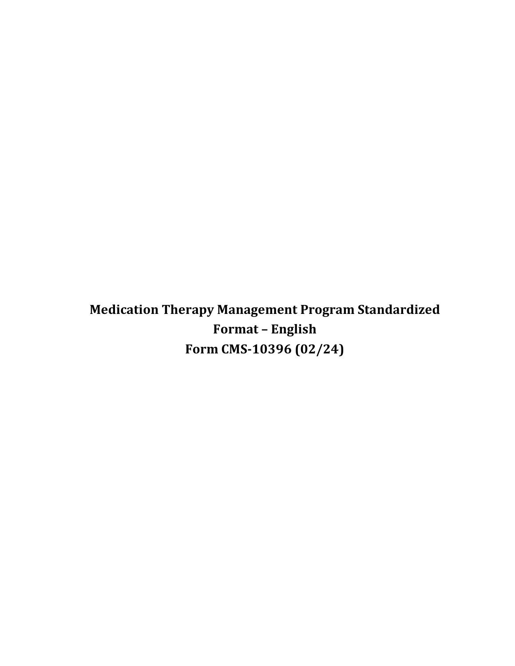**Medication Therapy Management Program Standardized Format – English Form CMS-10396 (02/24)**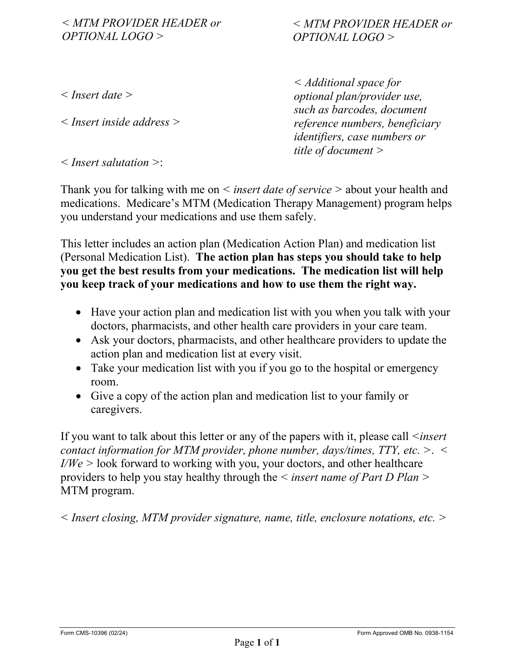*< MTM PROVIDER HEADER or OPTIONAL LOGO >*

# *< MTM PROVIDER HEADER or OPTIONAL LOGO >*

*< Insert date >*

*< Insert inside address >*

*< Additional space for optional plan/provider use, such as barcodes, document reference numbers, beneficiary identifiers, case numbers or title of document >*

*< Insert salutation >*:

Thank you for talking with me on *< insert date of service >* about your health and medications. Medicare's MTM (Medication Therapy Management) program helps you understand your medications and use them safely.

This letter includes an action plan (Medication Action Plan) and medication list (Personal Medication List). **The action plan has steps you should take to help you get the best results from your medications. The medication list will help you keep track of your medications and how to use them the right way.**

- Have your action plan and medication list with you when you talk with your doctors, pharmacists, and other health care providers in your care team.
- Ask your doctors, pharmacists, and other healthcare providers to update the action plan and medication list at every visit.
- Take your medication list with you if you go to the hospital or emergency room.
- Give a copy of the action plan and medication list to your family or caregivers.

If you want to talk about this letter or any of the papers with it, please call *<insert contact information for MTM provider, phone number, days/times, TTY, etc. >*. *< I/We >* look forward to working with you, your doctors, and other healthcare providers to help you stay healthy through the *< insert name of Part D Plan >* MTM program.

*< Insert closing, MTM provider signature, name, title, enclosure notations, etc. >*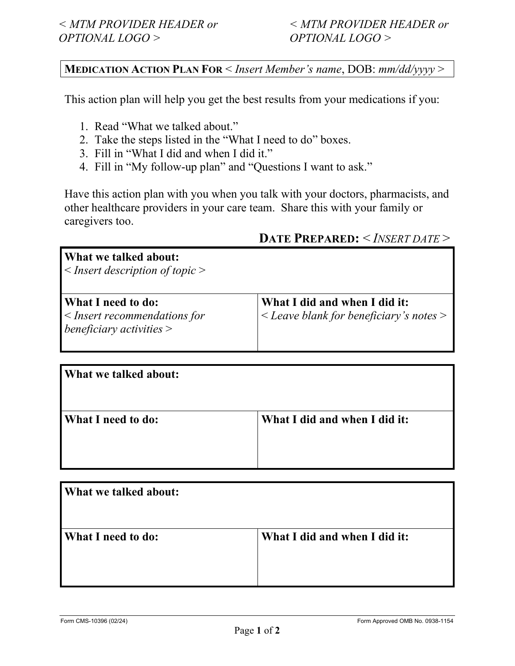# **MEDICATION ACTION PLAN FOR** < *Insert Member's name*, DOB: *mm/dd/yyyy* >

This action plan will help you get the best results from your medications if you:

- 1. Read "What we talked about."
- 2. Take the steps listed in the "What I need to do" boxes.
- 3. Fill in "What I did and when I did it."
- 4. Fill in "My follow-up plan" and "Questions I want to ask."

Have this action plan with you when you talk with your doctors, pharmacists, and other healthcare providers in your care team. Share this with your family or caregivers too.

# **DATE PREPARED:** < *INSERT DATE* >

## **What we talked about:**

< *Insert description of topic* >

## **What I need to do:**

< *Insert recommendations for beneficiary activities* >

**What I did and when I did it:**  < *Leave blank for beneficiary's notes* >

| <b>What we talked about:</b> |                               |
|------------------------------|-------------------------------|
| <b>What I need to do:</b>    | What I did and when I did it: |

| What we talked about:     |                               |
|---------------------------|-------------------------------|
| <b>What I need to do:</b> | What I did and when I did it: |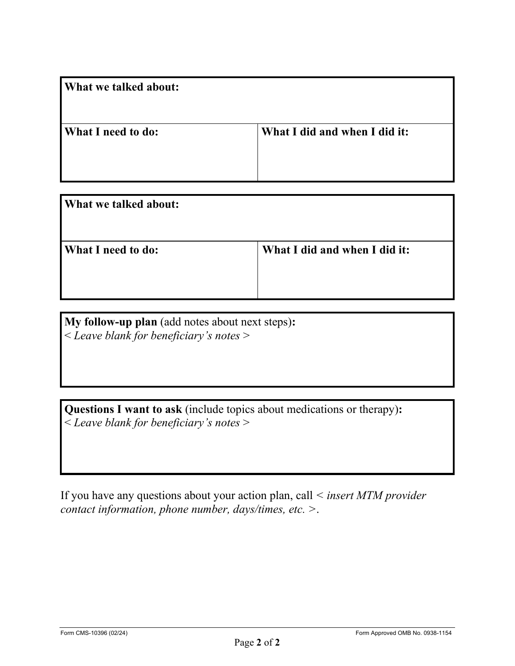| <b>What we talked about:</b> |                               |
|------------------------------|-------------------------------|
| <b>What I need to do:</b>    | What I did and when I did it: |

| <b>What we talked about:</b> |                               |
|------------------------------|-------------------------------|
| <b>What I need to do:</b>    | What I did and when I did it: |

**My follow-up plan** (add notes about next steps)**:** < *Leave blank for beneficiary's notes* >

**Questions I want to ask** (include topics about medications or therapy)**:** < *Leave blank for beneficiary's notes* >

If you have any questions about your action plan, call *< insert MTM provider contact information, phone number, days/times, etc. >*.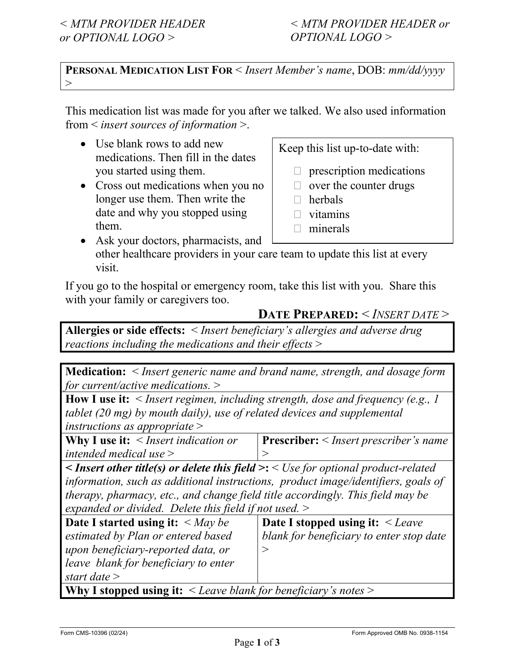**PERSONAL MEDICATION LIST FOR** < *Insert Member's name*, DOB: *mm/dd/yyyy*  $>$ 

This medication list was made for you after we talked. We also used information from < *insert sources of information* >.

- Use blank rows to add new medications. Then fill in the dates you started using them.
- Cross out medications when you no longer use them. Then write the date and why you stopped using them.

Keep this list up-to-date with:

- $\Box$  prescription medications
- $\Box$  over the counter drugs
- $\Box$  herbals
- $\Box$  vitamins
- $\Box$  minerals
- Ask your doctors, pharmacists, and other healthcare providers in your care team to update this list at every visit.

If you go to the hospital or emergency room, take this list with you. Share this with your family or caregivers too.

# **DATE PREPARED:** < *INSERT DATE* >

**Allergies or side effects:** < *Insert beneficiary's allergies and adverse drug reactions including the medications and their effects* >

**Medication:** < *Insert generic name and brand name, strength, and dosage form for current/active medications.* >

**How I use it:** < *Insert regimen, including strength, dose and frequency (e.g., 1 tablet (20 mg) by mouth daily), use of related devices and supplemental instructions as appropriate* >

**Why I use it:** < *Insert indication or intended medical use* > **Prescriber:** < *Insert prescriber's name*  $\,>$ 

*< Insert other title(s) or delete this field* **>:** < *Use for optional product-related information, such as additional instructions, product image/identifiers, goals of therapy, pharmacy, etc., and change field title accordingly. This field may be expanded or divided. Delete this field if not used.* >

| Date I started using it: $\langle May\ be$ | Date I stopped using it: $\leq$ Leave    |
|--------------------------------------------|------------------------------------------|
| estimated by Plan or entered based         | blank for beneficiary to enter stop date |
| upon beneficiary-reported data, or         |                                          |
| leave blank for beneficiary to enter       |                                          |
| start date $>$                             |                                          |
| WHERE $\blacksquare$                       |                                          |

**Why I stopped using it:** < *Leave blank for beneficiary's notes* >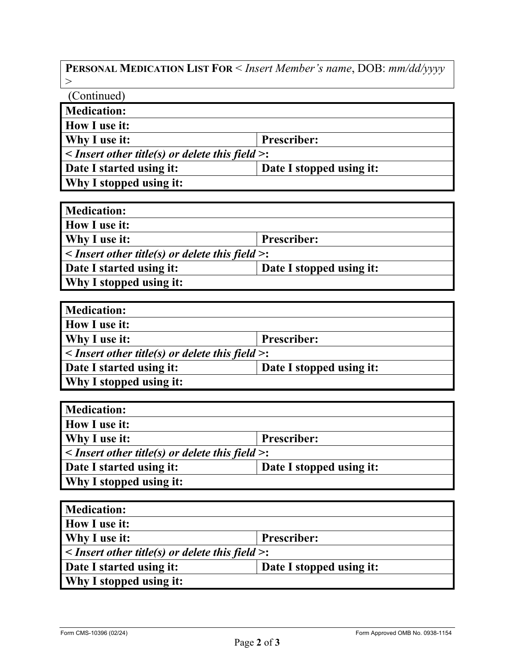**PERSONAL MEDICATION LIST FOR** < *Insert Member's name*, DOB: *mm/dd/yyyy*   $>$ 

(Continued) **Medication: How I use it: Why I use it: Prescriber: <** *Insert other title(s) or delete this field* **>: Date I started using it: Date I stopped using it: Why I stopped using it:**

| <b>Medication:</b>                                         |                          |  |
|------------------------------------------------------------|--------------------------|--|
| <b>How I use it:</b>                                       |                          |  |
| Why I use it:                                              | <b>Prescriber:</b>       |  |
| $\leq$ Insert other title(s) or delete this field $\geq$ : |                          |  |
| Date I started using it:                                   | Date I stopped using it: |  |
| <b>Why I stopped using it:</b>                             |                          |  |

| <b>Medication:</b>                                         |                          |  |
|------------------------------------------------------------|--------------------------|--|
| <b>How I use it:</b>                                       |                          |  |
| Why I use it:<br><b>Prescriber:</b>                        |                          |  |
| $\leq$ Insert other title(s) or delete this field $\geq$ : |                          |  |
| Date I started using it:                                   | Date I stopped using it: |  |
| Why I stopped using it:                                    |                          |  |

| <b>Medication:</b>                                         |                          |  |
|------------------------------------------------------------|--------------------------|--|
| <b>How I use it:</b>                                       |                          |  |
| Why I use it:<br><b>Prescriber:</b>                        |                          |  |
| $\leq$ Insert other title(s) or delete this field $\geq$ : |                          |  |
| Date I started using it:                                   | Date I stopped using it: |  |
| <b>Why I stopped using it:</b>                             |                          |  |

| <b>Medication:</b>                                         |                          |  |
|------------------------------------------------------------|--------------------------|--|
| <b>How I use it:</b>                                       |                          |  |
| <b>Why I use it:</b><br><b>Prescriber:</b>                 |                          |  |
| $\leq$ Insert other title(s) or delete this field $\geq$ : |                          |  |
| Date I started using it:                                   | Date I stopped using it: |  |
| <b>Why I stopped using it:</b>                             |                          |  |